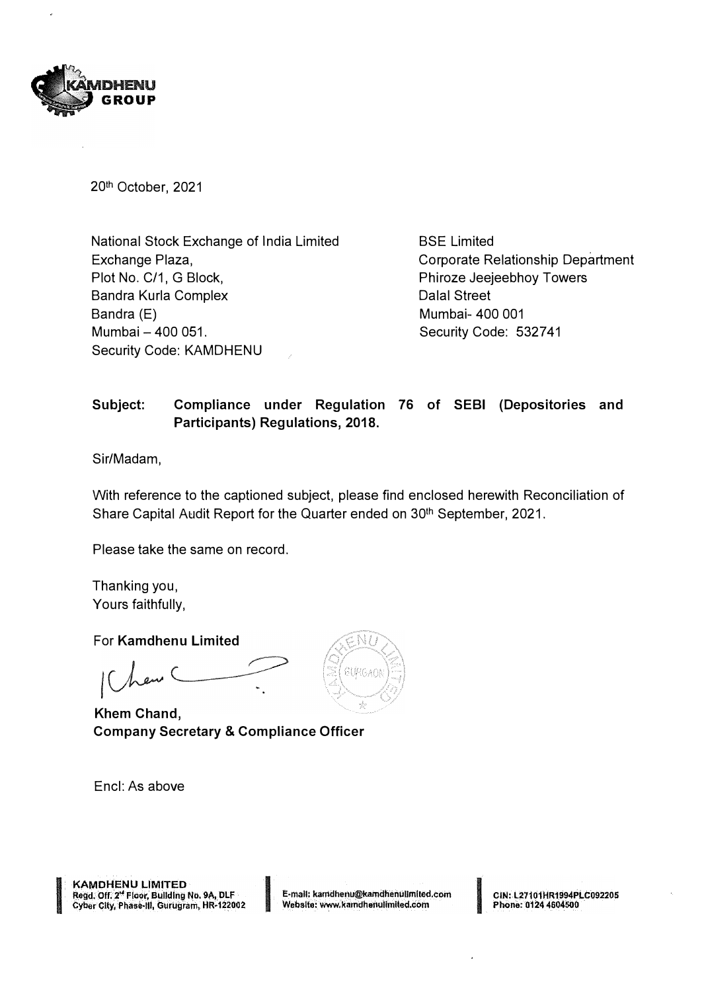

20th October, 2021

National Stock Exchange of India Limited Exchange Plaza, Plot No. C/1, G Block, Sandra Kurla Complex Bandra (E) Mumbai - 400 051. Security Code: KAMDHENU

BSE Limited Corporate Relationship Department Phiroze Jeejeebhoy Towers Dalal Street Mumbai- 400 001 Security Code: 532741

## **Subject: Compliance under Regulation 76 of SEBI (Depositories and Participants) Regulations, 2018.**

Sir/Madam,

With reference to the captioned subject, please find enclosed herewith Reconciliation of Share Capital Audit Report for the Quarter ended on 30<sup>th</sup> September, 2021.

Please take the same on record.

Thanking you, Yours faithfully,

For **Kamdhenu Limited** 

**Khem Chand, Company Secretary & Compliance Officer** 

Encl: As above



**KAMDHENU LIMITED** Regd. Off. 2<sup>st</sup> Floor, Building No. 9A, DLF Cyber City, Phase-III, Gurugram, HR-122002 I **f::maU: kamdhariu@kamdhenuUmlted.com Website:. www.k.nndhei1ulimited,com** I **CIN:.L271.01HR1.994Pl..C092201i** 

**Phone: 0124 4604500**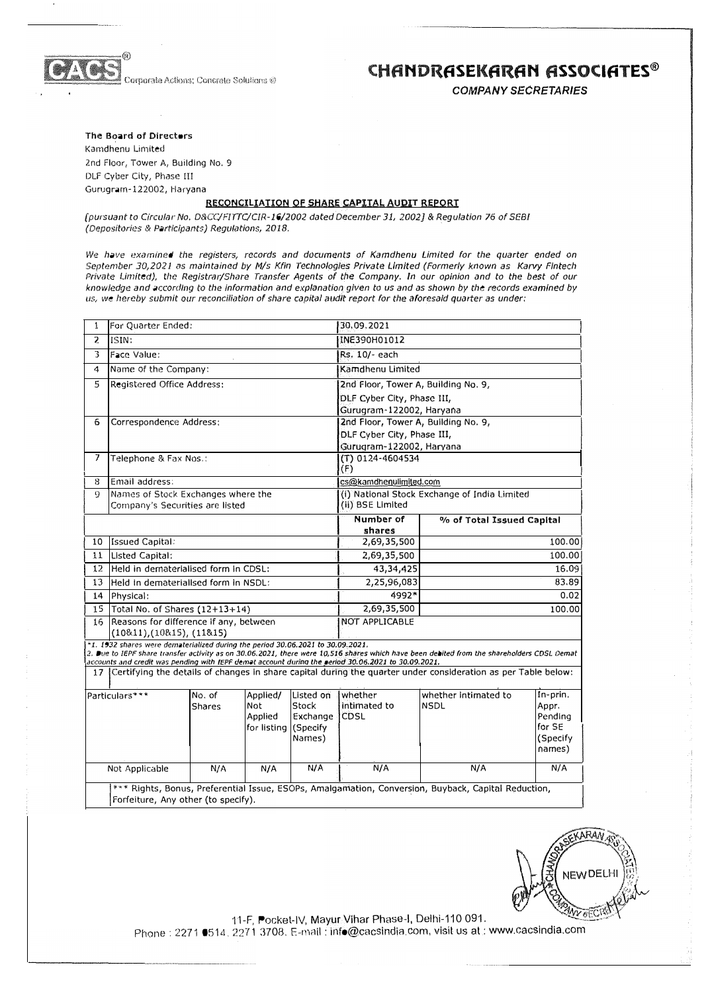

**Igrparate Actions; Concrete Solutions @** 

## **CHfiNDRASEKARAN ASSOCIATES®**

*COMPANY SECRETARIES* 

#### The Board of Directors

Kamdhenu Limited 2nd Floor, Tower A, Building No, 9 DLF Cyber City, Phase III Gurugrarn-122002, Haryana

### **RECONCILIATION OF SHARE CAPITAL AUDIT REPORT**

*{pursuant to Circular No. D&CC/FIITC/CIR-16/2002 dated December 31, 2002]* & *Regulation* 76 *of SEBI (Depositories* & *Participants) Regulations, 2018,*

*We have examined the registers, records and documents of Kamdhenu Limited for the quarter ended on September 30,2021 as maintained by Mis Kfln Technologies Private Limited (Formerly known as Karvy Flntech Private Limited), the Registrar/Share Transfer Agents of the Company. ln our opinion and to the best of our knowledge and according to the Information and explanation given to us and as shown by the records examined by us, we hereby submit our reconciliation of share capital audit report for the aforesaid quarter as under:* 

| $\mathbf{1}$                                                                                                                                                                                                                                                                                                                                                                                                                                             | For Quarter Ended:                                                    |                         |                                                           | 30.09.2021                               |                                                                  |                                     |                                                              |  |  |  |  |
|----------------------------------------------------------------------------------------------------------------------------------------------------------------------------------------------------------------------------------------------------------------------------------------------------------------------------------------------------------------------------------------------------------------------------------------------------------|-----------------------------------------------------------------------|-------------------------|-----------------------------------------------------------|------------------------------------------|------------------------------------------------------------------|-------------------------------------|--------------------------------------------------------------|--|--|--|--|
| $\overline{2}$                                                                                                                                                                                                                                                                                                                                                                                                                                           | ISIN:                                                                 |                         |                                                           |                                          | INE390H01012                                                     |                                     |                                                              |  |  |  |  |
| 3                                                                                                                                                                                                                                                                                                                                                                                                                                                        | Face Value:                                                           |                         |                                                           |                                          | Rs. 10/- each                                                    |                                     |                                                              |  |  |  |  |
| 4                                                                                                                                                                                                                                                                                                                                                                                                                                                        | Name of the Company:                                                  |                         |                                                           |                                          | Kamdhenu Limited                                                 |                                     |                                                              |  |  |  |  |
| 5                                                                                                                                                                                                                                                                                                                                                                                                                                                        | Registered Office Address:                                            |                         |                                                           |                                          | 2nd Floor, Tower A, Building No. 9,                              |                                     |                                                              |  |  |  |  |
|                                                                                                                                                                                                                                                                                                                                                                                                                                                          |                                                                       |                         |                                                           |                                          | DLF Cyber City, Phase III,                                       |                                     |                                                              |  |  |  |  |
|                                                                                                                                                                                                                                                                                                                                                                                                                                                          |                                                                       |                         |                                                           |                                          | Gurugram-122002, Haryana                                         |                                     |                                                              |  |  |  |  |
| 6                                                                                                                                                                                                                                                                                                                                                                                                                                                        | Correspondence Address;                                               |                         |                                                           |                                          | 2nd Floor, Tower A, Building No. 9,                              |                                     |                                                              |  |  |  |  |
|                                                                                                                                                                                                                                                                                                                                                                                                                                                          |                                                                       |                         |                                                           | DLF Cyber City, Phase III,               |                                                                  |                                     |                                                              |  |  |  |  |
|                                                                                                                                                                                                                                                                                                                                                                                                                                                          |                                                                       |                         |                                                           | Gurugram-122002, Haryana                 |                                                                  |                                     |                                                              |  |  |  |  |
| $\overline{\phantom{a}}$                                                                                                                                                                                                                                                                                                                                                                                                                                 | Telephone & Fax Nos.:                                                 |                         |                                                           |                                          | (T) 0124-4604534<br>(F)                                          |                                     |                                                              |  |  |  |  |
| 8                                                                                                                                                                                                                                                                                                                                                                                                                                                        | Email address:                                                        |                         |                                                           |                                          | cs@kamdhenulimited.com                                           |                                     |                                                              |  |  |  |  |
| 9                                                                                                                                                                                                                                                                                                                                                                                                                                                        | Names of Stock Exchanges where the<br>Company's Securities are listed |                         |                                                           |                                          | (i) National Stock Exchange of India Limited<br>(ii) BSE Limited |                                     |                                                              |  |  |  |  |
|                                                                                                                                                                                                                                                                                                                                                                                                                                                          |                                                                       |                         |                                                           |                                          | Number of<br>shares                                              | % of Total Issued Capital           |                                                              |  |  |  |  |
| 10                                                                                                                                                                                                                                                                                                                                                                                                                                                       | <b>Issued Capital:</b>                                                |                         |                                                           |                                          | 2,69,35,500                                                      | 100.00                              |                                                              |  |  |  |  |
| 11                                                                                                                                                                                                                                                                                                                                                                                                                                                       | Listed Capital:                                                       |                         |                                                           |                                          | 2,69,35,500                                                      | 100.00                              |                                                              |  |  |  |  |
| 12                                                                                                                                                                                                                                                                                                                                                                                                                                                       | Held in dematerialised form in CDSL;                                  |                         |                                                           |                                          | 43,34,425                                                        | 16.09                               |                                                              |  |  |  |  |
| 13                                                                                                                                                                                                                                                                                                                                                                                                                                                       | Held in dematerialised form in NSDL:                                  |                         |                                                           |                                          | 2,25,96,083                                                      | 83,89                               |                                                              |  |  |  |  |
| 14                                                                                                                                                                                                                                                                                                                                                                                                                                                       | Physical:                                                             |                         |                                                           |                                          | 4992*                                                            | 0.02                                |                                                              |  |  |  |  |
| 15                                                                                                                                                                                                                                                                                                                                                                                                                                                       | Total No. of Shares (12+13+14)                                        |                         |                                                           |                                          | 2,69,35,500                                                      |                                     | 100,00                                                       |  |  |  |  |
| 16                                                                                                                                                                                                                                                                                                                                                                                                                                                       | Reasons for difference if any, between<br>(10811), (10815), (11815)   |                         |                                                           |                                          | <b>NOT APPLICABLE</b>                                            |                                     |                                                              |  |  |  |  |
| *1. 1932 shares were dematerialized during the period 30.06.2021 to 30.09.2021.<br>2. Due to IEPF share transfer activity as on 30.06.2021, there were 10,516 shares which have been debited from the shareholders CDSL Demat<br>accounts and credit was pending with IEPF demat account during the seriod 30.06.2021 to 30.09.2021,<br>17 Certifying the details of changes in share capital during the quarter under consideration as per Table below: |                                                                       |                         |                                                           |                                          |                                                                  |                                     |                                                              |  |  |  |  |
|                                                                                                                                                                                                                                                                                                                                                                                                                                                          |                                                                       |                         |                                                           |                                          |                                                                  |                                     |                                                              |  |  |  |  |
|                                                                                                                                                                                                                                                                                                                                                                                                                                                          | Particulars***                                                        | No. of<br><b>Shares</b> | Applied/<br><b>Not</b><br>Applied<br>for listing (Specify | Listed on<br>Stock<br>Exchange<br>Names) | whether<br>intimated to<br><b>CDSL</b>                           | whether intimated to<br><b>NSDL</b> | In-prin.<br>Appr.<br>Pending<br>for SE<br>(Specify<br>names) |  |  |  |  |
| N/A<br>N/A<br>N/A<br>Not Applicable                                                                                                                                                                                                                                                                                                                                                                                                                      |                                                                       |                         | N/A                                                       | N/A                                      | N/A                                                              |                                     |                                                              |  |  |  |  |
| *** Rights, Bonus, Preferential Issue, ESOPs, Amalgamation, Conversion, Buyback, Capital Reduction,<br>Forfeiture, Any other (to specify).                                                                                                                                                                                                                                                                                                               |                                                                       |                         |                                                           |                                          |                                                                  |                                     |                                                              |  |  |  |  |



11-F, Pocket-IV, Mayur Vihar Phase-I, Delhi-110 091. *'�:\_!/��*  Phone: 2271 0514. 2271 3708. E-mail: info@cacsindia.com, visit us at: www.cacsindia.com